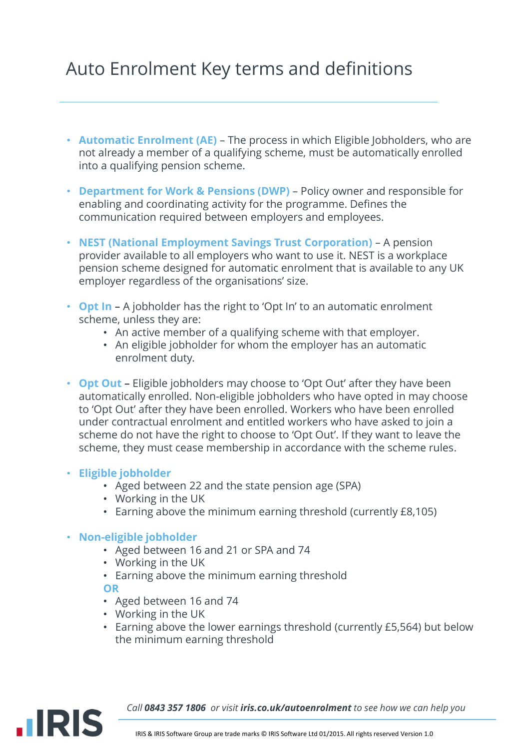# Auto Enrolment Key terms and definitions

- **Automatic Enrolment (AE)**  The process in which Eligible Jobholders, who are not already a member of a qualifying scheme, must be automatically enrolled into a qualifying pension scheme.
- **Department for Work & Pensions (DWP)**  Policy owner and responsible for enabling and coordinating activity for the programme. Defines the communication required between employers and employees.
- **NEST (National Employment Savings Trust Corporation)**  A pension provider available to all employers who want to use it. NEST is a workplace pension scheme designed for automatic enrolment that is available to any UK employer regardless of the organisations' size.
- **Opt In**  A jobholder has the right to 'Opt In' to an automatic enrolment scheme, unless they are:
	- An active member of a qualifying scheme with that employer.
	- An eligible jobholder for whom the employer has an automatic enrolment duty.
- **Opt Out**  Eligible jobholders may choose to 'Opt Out' after they have been automatically enrolled. Non-eligible jobholders who have opted in may choose to 'Opt Out' after they have been enrolled. Workers who have been enrolled under contractual enrolment and entitled workers who have asked to join a scheme do not have the right to choose to 'Opt Out'. If they want to leave the scheme, they must cease membership in accordance with the scheme rules.

### • **Eligible jobholder**

- Aged between 22 and the state pension age (SPA)
- Working in the UK
- Earning above the minimum earning threshold (currently £8,105)

### • **Non-eligible jobholder**

- Aged between 16 and 21 or SPA and 74
- Working in the UK
- Earning above the minimum earning threshold **OR**
- Aged between 16 and 74
- Working in the UK
- Earning above the lower earnings threshold (currently £5,564) but below the minimum earning threshold



*Call 0843 357 1806 or visit iris.co.uk/autoenrolment to see how we can help you*